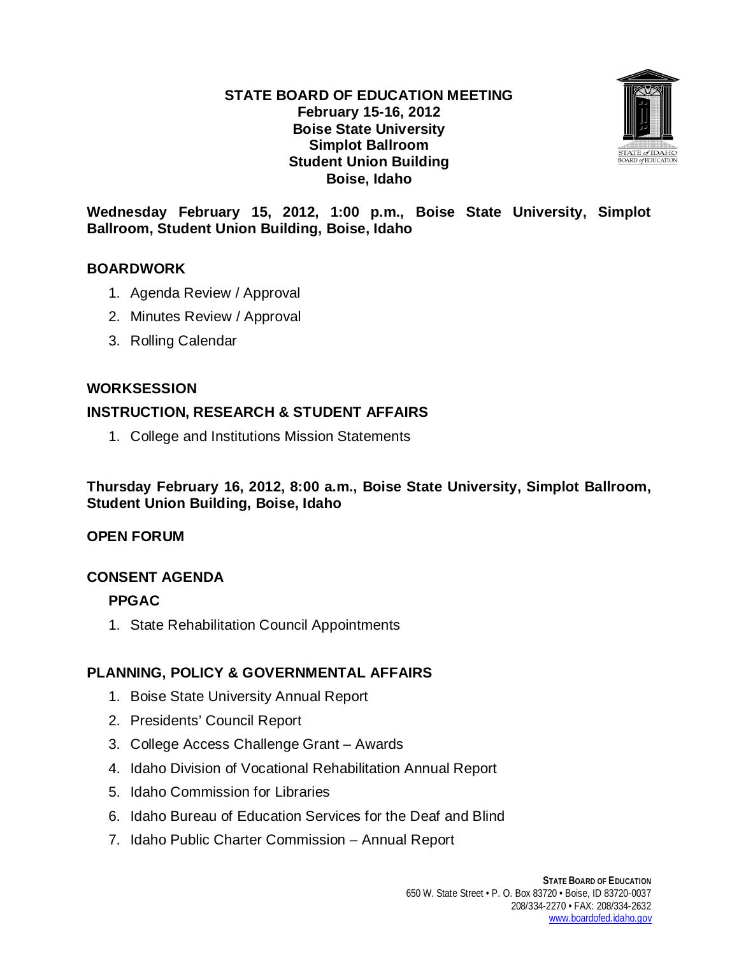#### **STATE BOARD OF EDUCATION MEETING February 15-16, 2012 Boise State University Simplot Ballroom Student Union Building Boise, Idaho**



**Wednesday February 15, 2012, 1:00 p.m., Boise State University, Simplot Ballroom, Student Union Building, Boise, Idaho**

#### **BOARDWORK**

- 1. Agenda Review / Approval
- 2. Minutes Review / Approval
- 3. Rolling Calendar

#### **WORKSESSION**

## **INSTRUCTION, RESEARCH & STUDENT AFFAIRS**

1. College and Institutions Mission Statements

**Thursday February 16, 2012, 8:00 a.m., Boise State University, Simplot Ballroom, Student Union Building, Boise, Idaho**

#### **OPEN FORUM**

## **CONSENT AGENDA**

## **PPGAC**

1. State Rehabilitation Council Appointments

## **PLANNING, POLICY & GOVERNMENTAL AFFAIRS**

- 1. Boise State University Annual Report
- 2. Presidents' Council Report
- 3. College Access Challenge Grant Awards
- 4. Idaho Division of Vocational Rehabilitation Annual Report
- 5. Idaho Commission for Libraries
- 6. Idaho Bureau of Education Services for the Deaf and Blind
- 7. Idaho Public Charter Commission Annual Report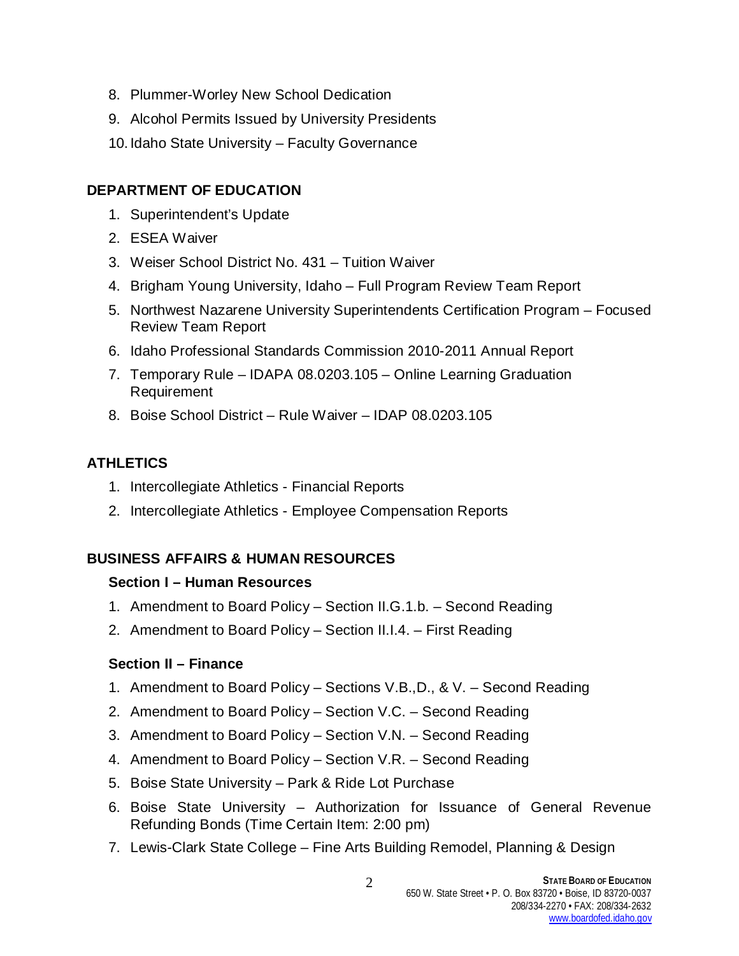- 8. Plummer-Worley New School Dedication
- 9. Alcohol Permits Issued by University Presidents
- 10. Idaho State University Faculty Governance

## **DEPARTMENT OF EDUCATION**

- 1. Superintendent's Update
- 2. ESEA Waiver
- 3. Weiser School District No. 431 Tuition Waiver
- 4. Brigham Young University, Idaho Full Program Review Team Report
- 5. Northwest Nazarene University Superintendents Certification Program Focused Review Team Report
- 6. Idaho Professional Standards Commission 2010-2011 Annual Report
- 7. Temporary Rule IDAPA 08.0203.105 Online Learning Graduation Requirement
- 8. Boise School District Rule Waiver IDAP 08.0203.105

# **ATHLETICS**

- 1. Intercollegiate Athletics Financial Reports
- 2. Intercollegiate Athletics Employee Compensation Reports

# **BUSINESS AFFAIRS & HUMAN RESOURCES**

## **Section I – Human Resources**

- 1. Amendment to Board Policy Section II.G.1.b. Second Reading
- 2. Amendment to Board Policy Section II.I.4. First Reading

## **Section II – Finance**

- 1. Amendment to Board Policy Sections V.B.,D., & V. Second Reading
- 2. Amendment to Board Policy Section V.C. Second Reading
- 3. Amendment to Board Policy Section V.N. Second Reading
- 4. Amendment to Board Policy Section V.R. Second Reading
- 5. Boise State University Park & Ride Lot Purchase
- 6. Boise State University Authorization for Issuance of General Revenue Refunding Bonds (Time Certain Item: 2:00 pm)
- 7. Lewis-Clark State College Fine Arts Building Remodel, Planning & Design

2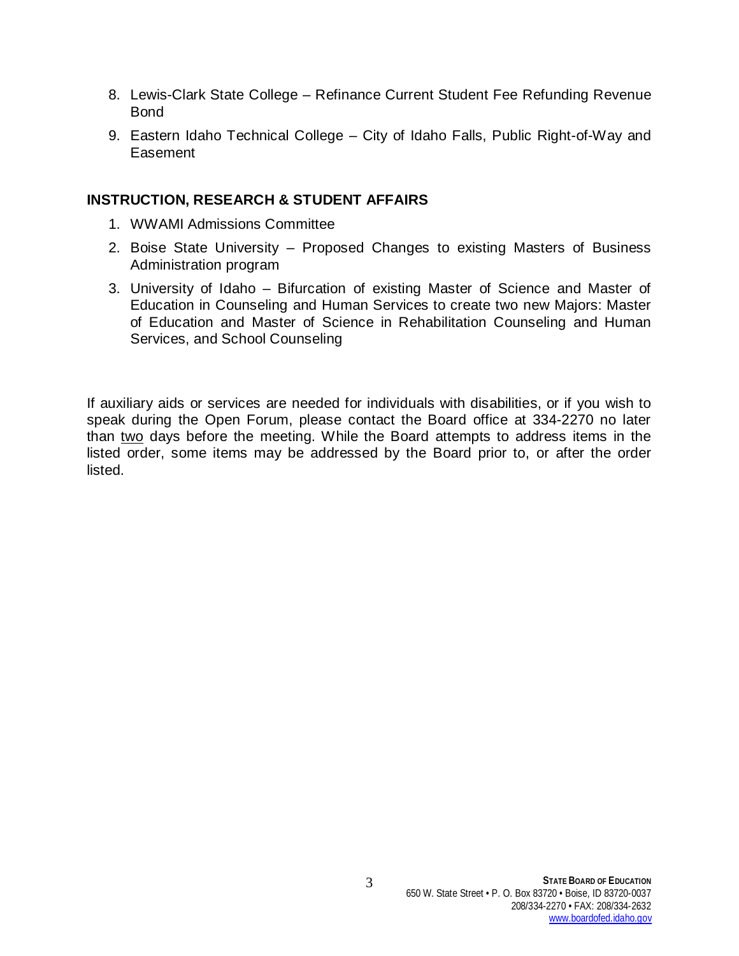- 8. Lewis-Clark State College Refinance Current Student Fee Refunding Revenue Bond
- 9. Eastern Idaho Technical College City of Idaho Falls, Public Right-of-Way and **Easement**

#### **INSTRUCTION, RESEARCH & STUDENT AFFAIRS**

- 1. WWAMI Admissions Committee
- 2. Boise State University Proposed Changes to existing Masters of Business Administration program
- 3. University of Idaho Bifurcation of existing Master of Science and Master of Education in Counseling and Human Services to create two new Majors: Master of Education and Master of Science in Rehabilitation Counseling and Human Services, and School Counseling

If auxiliary aids or services are needed for individuals with disabilities, or if you wish to speak during the Open Forum, please contact the Board office at 334-2270 no later than two days before the meeting. While the Board attempts to address items in the listed order, some items may be addressed by the Board prior to, or after the order listed.